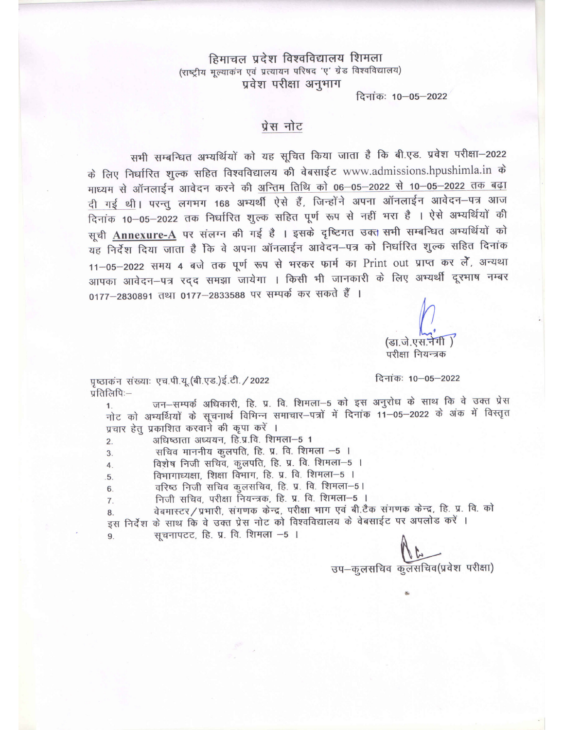हिमाचल प्रदेश विश्वविद्यालय शिमला (राष्ट्रीय मूल्याकंन एवं प्रत्यायन परिषद 'ए' ग्रेड विश्वविद्यालय) प्रवेश परीक्षा अनुभाग

दिनांकः 10-05-2022

## प्रेस नोट

सभी सम्बन्धित अभ्यर्थियों को यह सूचित किया जाता है कि बी.एड. प्रवेश परीक्षा-2022 के लिए निर्धारित शुल्क सहित विश्वविद्यालय की वेबसाईट www.admissions.hpushimla.in के माध्यम से ऑनलाईन आवेदन करने की अन्तिम तिथि को 06-05-2022 से 10-05-2022 तक बढ़ा दी गई थी। परन्तु लगभग 168 अभ्यर्थी ऐसे हैं, जिन्होंने अपना ऑनलाईन आवेदन-पत्र आज दिनांक 10–05–2022 तक निर्धारित शुल्क सहित पूर्ण रूप से नहीं भरा है । ऐसे अभ्यर्थियों की सूची Annexure-A पर संलग्न की गई है । इसके दृष्टिगत उक्त सभी सम्बन्धित अभ्यर्थियों को यह निर्देश दिया जाता है कि वे अपना ऑनलाईन आवेदन–पत्र को निर्धारित शुल्क सहित दिनांक 11-05-2022 समय 4 बजे तक पूर्ण रूप से भरकर फार्म का Print out प्राप्त कर लैं, अन्यथा आपका आवेदन-पत्र रदद समझा जायेगा । किसी भी जानकारी के लिए अभ्यर्थी दूरभाष नम्बर 0177-2830891 तथा 0177-2833588 पर सम्पर्क कर सकते हैं ।

(डा.जे.एस.ने परीक्षा नियन्त्रक

दिनांकः 10-05-2022

पृष्ठाकन संख्याः एच.पी.यू.(बी.एड.)ई.टी. / 2022 प्रतिलिपिः-

जन-सम्पर्क अधिकारी, हि. प्र. वि. शिमला-5 को इस अनुरोध के साथ कि वे उक्त प्रेस  $1.$ नोट को अभ्यर्थियों के सूचनार्थ विभिन्न समाचार-पत्रों में दिनांक 11-05-2022 के अंक में विस्तृत प्रचार हेतू प्रकाशित करवाने की कृपा करें ।

अधिष्ठाता अध्ययन, हि.प्र.वि. शिमला-5 1  $2.$ 

सचिव माननीय कुलपति, हि. प्र. वि. शिमला -5 ।  $3<sub>1</sub>$ 

विशेष निजी सचिव, कुलपति, हि. प्र. वि. शिमला-5 । 4.

विभागाध्यक्षा, शिक्षा विभाग, हि. प्र. वि. शिमला-5 । 5.

वरिष्ठ निजी सचिव कुलसचिव, हि. प्र. वि. शिमला-5। 6.

निजी सचिव, परीक्षा नियन्त्रक, हि. प्र. वि. शिमला-5 ।  $\overline{7}$ .

वेबमास्टर/प्रभारी, संगणक केन्द्र, परीक्षा भाग एवं बी.टैक संगणक केन्द्र, हि. प्र. वि. को 8. इस निर्देश के साथ कि वे उक्त प्रेस नोट को विश्वविद्यालय के वेबसाईट पर अपलोड करें ।

सूचनापटट, हि. प्र. वि. शिमला -5 ।

उप-कुलसचिव कुलसचिव(प्रवेश परीक्षा)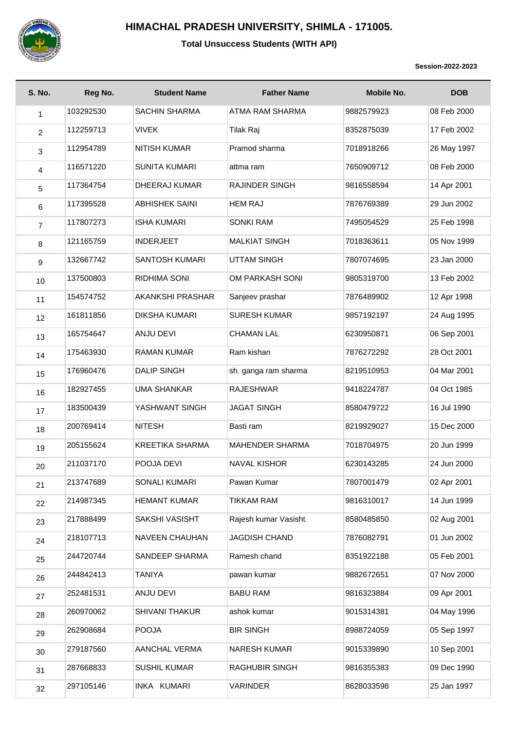

## **HIMACHAL PRADESH UNIVERSITY, SHIMLA - 171005.**

## **Total Unsuccess Students (WITH API)**

**Session-2022-2023**

| <b>S. No.</b>  | Reg No.   | <b>Student Name</b>    | <b>Father Name</b>     | <b>Mobile No.</b> | <b>DOB</b>  |
|----------------|-----------|------------------------|------------------------|-------------------|-------------|
| 1              | 103292530 | <b>SACHIN SHARMA</b>   | ATMA RAM SHARMA        | 9882579923        | 08 Feb 2000 |
| $\overline{2}$ | 112259713 | <b>VIVEK</b>           | <b>Tilak Raj</b>       | 8352875039        | 17 Feb 2002 |
| 3              | 112954789 | <b>NITISH KUMAR</b>    | Pramod sharma          | 7018918266        | 26 May 1997 |
| $\overline{4}$ | 116571220 | <b>SUNITA KUMARI</b>   | attma ram              | 7650909712        | 08 Feb 2000 |
| $\sqrt{5}$     | 117364754 | DHEERAJ KUMAR          | RAJINDER SINGH         | 9816558594        | 14 Apr 2001 |
| 6              | 117395528 | <b>ABHISHEK SAINI</b>  | <b>HEM RAJ</b>         | 7876769389        | 29 Jun 2002 |
| $\overline{7}$ | 117807273 | <b>ISHA KUMARI</b>     | <b>SONKI RAM</b>       | 7495054529        | 25 Feb 1998 |
| 8              | 121165759 | <b>INDERJEET</b>       | <b>MALKIAT SINGH</b>   | 7018363611        | 05 Nov 1999 |
| $9\,$          | 132667742 | <b>SANTOSH KUMARI</b>  | <b>UTTAM SINGH</b>     | 7807074695        | 23 Jan 2000 |
| 10             | 137500803 | RIDHIMA SONI           | OM PARKASH SONI        | 9805319700        | 13 Feb 2002 |
| 11             | 154574752 | AKANKSHI PRASHAR       | Sanjeev prashar        | 7876489902        | 12 Apr 1998 |
| 12             | 161811856 | <b>DIKSHA KUMARI</b>   | <b>SURESH KUMAR</b>    | 9857192197        | 24 Aug 1995 |
| 13             | 165754647 | <b>ANJU DEVI</b>       | <b>CHAMAN LAL</b>      | 6230950871        | 06 Sep 2001 |
| 14             | 175463930 | <b>RAMAN KUMAR</b>     | Ram kishan             | 7876272292        | 28 Oct 2001 |
| 15             | 176960476 | <b>DALIP SINGH</b>     | sh. ganga ram sharma   | 8219510953        | 04 Mar 2001 |
| 16             | 182927455 | <b>UMA SHANKAR</b>     | <b>RAJESHWAR</b>       | 9418224787        | 04 Oct 1985 |
| 17             | 183500439 | YASHWANT SINGH         | <b>JAGAT SINGH</b>     | 8580479722        | 16 Jul 1990 |
| 18             | 200769414 | <b>NITESH</b>          | Basti ram              | 8219929027        | 15 Dec 2000 |
| 19             | 205155624 | <b>KREETIKA SHARMA</b> | <b>MAHENDER SHARMA</b> | 7018704975        | 20 Jun 1999 |
| 20             | 211037170 | POOJA DEVI             | <b>NAVAL KISHOR</b>    | 6230143285        | 24 Jun 2000 |
| 21             | 213747689 | SONALI KUMARI          | Pawan Kumar            | 7807001479        | 02 Apr 2001 |
| 22             | 214987345 | <b>HEMANT KUMAR</b>    | <b>TIKKAM RAM</b>      | 9816310017        | 14 Jun 1999 |
| 23             | 217888499 | SAKSHI VASISHT         | Rajesh kumar Vasisht   | 8580485850        | 02 Aug 2001 |
| 24             | 218107713 | NAVEEN CHAUHAN         | <b>JAGDISH CHAND</b>   | 7876082791        | 01 Jun 2002 |
| 25             | 244720744 | SANDEEP SHARMA         | Ramesh chand           | 8351922188        | 05 Feb 2001 |
| 26             | 244842413 | <b>TANIYA</b>          | pawan kumar            | 9882672651        | 07 Nov 2000 |
| 27             | 252481531 | ANJU DEVI              | <b>BABU RAM</b>        | 9816323884        | 09 Apr 2001 |
| 28             | 260970062 | <b>SHIVANI THAKUR</b>  | ashok kumar            | 9015314381        | 04 May 1996 |
| 29             | 262908684 | <b>POOJA</b>           | <b>BIR SINGH</b>       | 8988724059        | 05 Sep 1997 |
| 30             | 279187560 | AANCHAL VERMA          | <b>NARESH KUMAR</b>    | 9015339890        | 10 Sep 2001 |
| 31             | 287668833 | SUSHIL KUMAR           | RAGHUBIR SINGH         | 9816355383        | 09 Dec 1990 |
| 32             | 297105146 | INKA KUMARI            | VARINDER               | 8628033598        | 25 Jan 1997 |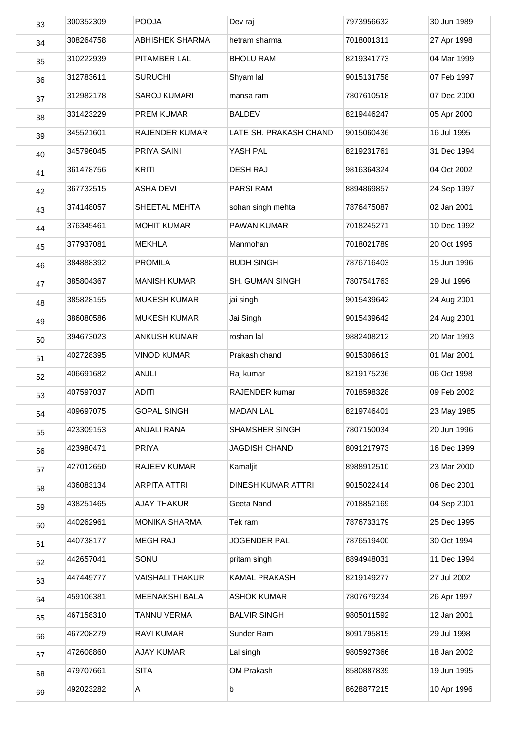| 33 | 300352309 | <b>POOJA</b>           | Dev raj                | 7973956632 | 30 Jun 1989 |
|----|-----------|------------------------|------------------------|------------|-------------|
| 34 | 308264758 | <b>ABHISHEK SHARMA</b> | hetram sharma          | 7018001311 | 27 Apr 1998 |
| 35 | 310222939 | PITAMBER LAL           | <b>BHOLU RAM</b>       | 8219341773 | 04 Mar 1999 |
| 36 | 312783611 | <b>SURUCHI</b>         | Shyam lal              | 9015131758 | 07 Feb 1997 |
| 37 | 312982178 | SAROJ KUMARI           | mansa ram              | 7807610518 | 07 Dec 2000 |
| 38 | 331423229 | PREM KUMAR             | <b>BALDEV</b>          | 8219446247 | 05 Apr 2000 |
| 39 | 345521601 | RAJENDER KUMAR         | LATE SH. PRAKASH CHAND | 9015060436 | 16 Jul 1995 |
| 40 | 345796045 | PRIYA SAINI            | YASH PAL               | 8219231761 | 31 Dec 1994 |
| 41 | 361478756 | <b>KRITI</b>           | <b>DESH RAJ</b>        | 9816364324 | 04 Oct 2002 |
| 42 | 367732515 | <b>ASHA DEVI</b>       | <b>PARSI RAM</b>       | 8894869857 | 24 Sep 1997 |
| 43 | 374148057 | SHEETAL MEHTA          | sohan singh mehta      | 7876475087 | 02 Jan 2001 |
| 44 | 376345461 | <b>MOHIT KUMAR</b>     | PAWAN KUMAR            | 7018245271 | 10 Dec 1992 |
| 45 | 377937081 | <b>MEKHLA</b>          | Manmohan               | 7018021789 | 20 Oct 1995 |
| 46 | 384888392 | <b>PROMILA</b>         | <b>BUDH SINGH</b>      | 7876716403 | 15 Jun 1996 |
| 47 | 385804367 | <b>MANISH KUMAR</b>    | <b>SH. GUMAN SINGH</b> | 7807541763 | 29 Jul 1996 |
| 48 | 385828155 | MUKESH KUMAR           | jai singh              | 9015439642 | 24 Aug 2001 |
| 49 | 386080586 | <b>MUKESH KUMAR</b>    | Jai Singh              | 9015439642 | 24 Aug 2001 |
| 50 | 394673023 | <b>ANKUSH KUMAR</b>    | roshan lal             | 9882408212 | 20 Mar 1993 |
| 51 | 402728395 | <b>VINOD KUMAR</b>     | Prakash chand          | 9015306613 | 01 Mar 2001 |
| 52 | 406691682 | <b>ANJLI</b>           | Raj kumar              | 8219175236 | 06 Oct 1998 |
| 53 | 407597037 | <b>ADITI</b>           | RAJENDER kumar         | 7018598328 | 09 Feb 2002 |
| 54 | 409697075 | <b>GOPAL SINGH</b>     | <b>MADAN LAL</b>       | 8219746401 | 23 May 1985 |
| 55 | 423309153 | ANJALI RANA            | SHAMSHER SINGH         | 7807150034 | 20 Jun 1996 |
| 56 | 423980471 | PRIYA                  | <b>JAGDISH CHAND</b>   | 8091217973 | 16 Dec 1999 |
| 57 | 427012650 | RAJEEV KUMAR           | Kamaljit               | 8988912510 | 23 Mar 2000 |
| 58 | 436083134 | <b>ARPITA ATTRI</b>    | DINESH KUMAR ATTRI     | 9015022414 | 06 Dec 2001 |
| 59 | 438251465 | <b>AJAY THAKUR</b>     | Geeta Nand             | 7018852169 | 04 Sep 2001 |
| 60 | 440262961 | <b>MONIKA SHARMA</b>   | Tek ram                | 7876733179 | 25 Dec 1995 |
| 61 | 440738177 | <b>MEGH RAJ</b>        | <b>JOGENDER PAL</b>    | 7876519400 | 30 Oct 1994 |
| 62 | 442657041 | SONU                   | pritam singh           | 8894948031 | 11 Dec 1994 |
| 63 | 447449777 | <b>VAISHALI THAKUR</b> | KAMAL PRAKASH          | 8219149277 | 27 Jul 2002 |
| 64 | 459106381 | MEENAKSHI BALA         | <b>ASHOK KUMAR</b>     | 7807679234 | 26 Apr 1997 |
| 65 | 467158310 | TANNU VERMA            | <b>BALVIR SINGH</b>    | 9805011592 | 12 Jan 2001 |
| 66 | 467208279 | RAVI KUMAR             | Sunder Ram             | 8091795815 | 29 Jul 1998 |
| 67 | 472608860 | <b>AJAY KUMAR</b>      | Lal singh              | 9805927366 | 18 Jan 2002 |
| 68 | 479707661 | <b>SITA</b>            | OM Prakash             | 8580887839 | 19 Jun 1995 |
| 69 | 492023282 | Α                      | b                      | 8628877215 | 10 Apr 1996 |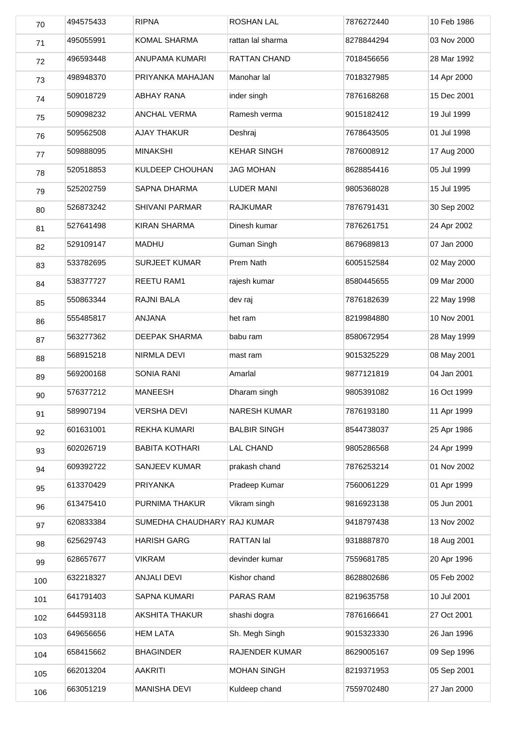| 70  | 494575433 | <b>RIPNA</b>                | <b>ROSHAN LAL</b>   | 7876272440 | 10 Feb 1986 |
|-----|-----------|-----------------------------|---------------------|------------|-------------|
| 71  | 495055991 | KOMAL SHARMA                | rattan lal sharma   | 8278844294 | 03 Nov 2000 |
| 72  | 496593448 | ANUPAMA KUMARI              | RATTAN CHAND        | 7018456656 | 28 Mar 1992 |
| 73  | 498948370 | PRIYANKA MAHAJAN            | Manohar lal         | 7018327985 | 14 Apr 2000 |
| 74  | 509018729 | <b>ABHAY RANA</b>           | inder singh         | 7876168268 | 15 Dec 2001 |
| 75  | 509098232 | ANCHAL VERMA                | Ramesh verma        | 9015182412 | 19 Jul 1999 |
| 76  | 509562508 | <b>AJAY THAKUR</b>          | Deshraj             | 7678643505 | 01 Jul 1998 |
| 77  | 509888095 | <b>MINAKSHI</b>             | <b>KEHAR SINGH</b>  | 7876008912 | 17 Aug 2000 |
| 78  | 520518853 | KULDEEP CHOUHAN             | <b>JAG MOHAN</b>    | 8628854416 | 05 Jul 1999 |
| 79  | 525202759 | <b>SAPNA DHARMA</b>         | <b>LUDER MANI</b>   | 9805368028 | 15 Jul 1995 |
| 80  | 526873242 | <b>SHIVANI PARMAR</b>       | <b>RAJKUMAR</b>     | 7876791431 | 30 Sep 2002 |
| 81  | 527641498 | <b>KIRAN SHARMA</b>         | Dinesh kumar        | 7876261751 | 24 Apr 2002 |
| 82  | 529109147 | <b>MADHU</b>                | Guman Singh         | 8679689813 | 07 Jan 2000 |
| 83  | 533782695 | <b>SURJEET KUMAR</b>        | Prem Nath           | 6005152584 | 02 May 2000 |
| 84  | 538377727 | REETU RAM1                  | rajesh kumar        | 8580445655 | 09 Mar 2000 |
| 85  | 550863344 | RAJNI BALA                  | dev raj             | 7876182639 | 22 May 1998 |
| 86  | 555485817 | ANJANA                      | het ram             | 8219984880 | 10 Nov 2001 |
| 87  | 563277362 | DEEPAK SHARMA               | babu ram            | 8580672954 | 28 May 1999 |
| 88  | 568915218 | NIRMLA DEVI                 | mast ram            | 9015325229 | 08 May 2001 |
| 89  | 569200168 | SONIA RANI                  | Amarlal             | 9877121819 | 04 Jan 2001 |
| 90  | 576377212 | <b>MANEESH</b>              | Dharam singh        | 9805391082 | 16 Oct 1999 |
| 91  | 589907194 | <b>VERSHA DEVI</b>          | <b>NARESH KUMAR</b> | 7876193180 | 11 Apr 1999 |
| 92  | 601631001 | REKHA KUMARI                | <b>BALBIR SINGH</b> | 8544738037 | 25 Apr 1986 |
| 93  | 602026719 | <b>BABITA KOTHARI</b>       | <b>LAL CHAND</b>    | 9805286568 | 24 Apr 1999 |
| 94  | 609392722 | SANJEEV KUMAR               | prakash chand       | 7876253214 | 01 Nov 2002 |
| 95  | 613370429 | PRIYANKA                    | Pradeep Kumar       | 7560061229 | 01 Apr 1999 |
| 96  | 613475410 | PURNIMA THAKUR              | Vikram singh        | 9816923138 | 05 Jun 2001 |
| 97  | 620833384 | SUMEDHA CHAUDHARY RAJ KUMAR |                     | 9418797438 | 13 Nov 2002 |
| 98  | 625629743 | <b>HARISH GARG</b>          | RATTAN lal          | 9318887870 | 18 Aug 2001 |
| 99  | 628657677 | <b>VIKRAM</b>               | devinder kumar      | 7559681785 | 20 Apr 1996 |
| 100 | 632218327 | ANJALI DEVI                 | Kishor chand        | 8628802686 | 05 Feb 2002 |
| 101 | 641791403 | SAPNA KUMARI                | PARAS RAM           | 8219635758 | 10 Jul 2001 |
| 102 | 644593118 | <b>AKSHITA THAKUR</b>       | shashi dogra        | 7876166641 | 27 Oct 2001 |
| 103 | 649656656 | <b>HEM LATA</b>             | Sh. Megh Singh      | 9015323330 | 26 Jan 1996 |
| 104 | 658415662 | <b>BHAGINDER</b>            | RAJENDER KUMAR      | 8629005167 | 09 Sep 1996 |
| 105 | 662013204 | <b>AAKRITI</b>              | <b>MOHAN SINGH</b>  | 8219371953 | 05 Sep 2001 |
| 106 | 663051219 | <b>MANISHA DEVI</b>         | Kuldeep chand       | 7559702480 | 27 Jan 2000 |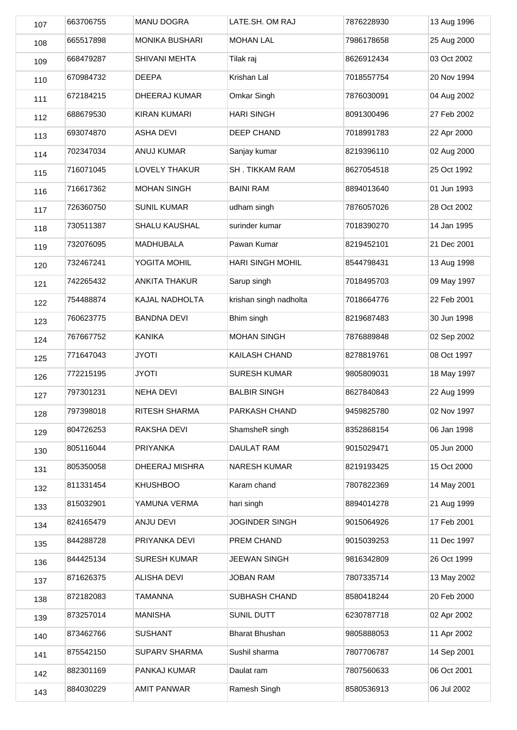| 107 | 663706755 | MANU DOGRA            | LATE.SH. OM RAJ         | 7876228930 | 13 Aug 1996 |
|-----|-----------|-----------------------|-------------------------|------------|-------------|
| 108 | 665517898 | <b>MONIKA BUSHARI</b> | <b>MOHAN LAL</b>        | 7986178658 | 25 Aug 2000 |
| 109 | 668479287 | <b>SHIVANI MEHTA</b>  | Tilak raj               | 8626912434 | 03 Oct 2002 |
| 110 | 670984732 | <b>DEEPA</b>          | Krishan Lal             | 7018557754 | 20 Nov 1994 |
| 111 | 672184215 | DHEERAJ KUMAR         | Omkar Singh             | 7876030091 | 04 Aug 2002 |
| 112 | 688679530 | <b>KIRAN KUMARI</b>   | <b>HARI SINGH</b>       | 8091300496 | 27 Feb 2002 |
| 113 | 693074870 | <b>ASHA DEVI</b>      | DEEP CHAND              | 7018991783 | 22 Apr 2000 |
| 114 | 702347034 | ANUJ KUMAR            | Sanjay kumar            | 8219396110 | 02 Aug 2000 |
| 115 | 716071045 | LOVELY THAKUR         | <b>SH. TIKKAM RAM</b>   | 8627054518 | 25 Oct 1992 |
| 116 | 716617362 | <b>MOHAN SINGH</b>    | <b>BAINI RAM</b>        | 8894013640 | 01 Jun 1993 |
| 117 | 726360750 | <b>SUNIL KUMAR</b>    | udham singh             | 7876057026 | 28 Oct 2002 |
| 118 | 730511387 | <b>SHALU KAUSHAL</b>  | surinder kumar          | 7018390270 | 14 Jan 1995 |
| 119 | 732076095 | MADHUBALA             | Pawan Kumar             | 8219452101 | 21 Dec 2001 |
| 120 | 732467241 | YOGITA MOHIL          | <b>HARI SINGH MOHIL</b> | 8544798431 | 13 Aug 1998 |
| 121 | 742265432 | ANKITA THAKUR         | Sarup singh             | 7018495703 | 09 May 1997 |
| 122 | 754488874 | KAJAL NADHOLTA        | krishan singh nadholta  | 7018664776 | 22 Feb 2001 |
| 123 | 760623775 | <b>BANDNA DEVI</b>    | Bhim singh              | 8219687483 | 30 Jun 1998 |
| 124 | 767667752 | <b>KANIKA</b>         | <b>MOHAN SINGH</b>      | 7876889848 | 02 Sep 2002 |
| 125 | 771647043 | <b>JYOTI</b>          | KAILASH CHAND           | 8278819761 | 08 Oct 1997 |
| 126 | 772215195 | <b>JYOTI</b>          | <b>SURESH KUMAR</b>     | 9805809031 | 18 May 1997 |
| 127 | 797301231 | <b>NEHA DEVI</b>      | <b>BALBIR SINGH</b>     | 8627840843 | 22 Aug 1999 |
| 128 | 797398018 | RITESH SHARMA         | PARKASH CHAND           | 9459825780 | 02 Nov 1997 |
| 129 | 804726253 | RAKSHA DEVI           | ShamsheR singh          | 8352868154 | 06 Jan 1998 |
| 130 | 805116044 | PRIYANKA              | DAULAT RAM              | 9015029471 | 05 Jun 2000 |
| 131 | 805350058 | DHEERAJ MISHRA        | <b>NARESH KUMAR</b>     | 8219193425 | 15 Oct 2000 |
| 132 | 811331454 | <b>KHUSHBOO</b>       | Karam chand             | 7807822369 | 14 May 2001 |
| 133 | 815032901 | YAMUNA VERMA          | hari singh              | 8894014278 | 21 Aug 1999 |
| 134 | 824165479 | ANJU DEVI             | <b>JOGINDER SINGH</b>   | 9015064926 | 17 Feb 2001 |
| 135 | 844288728 | PRIYANKA DEVI         | PREM CHAND              | 9015039253 | 11 Dec 1997 |
| 136 | 844425134 | <b>SURESH KUMAR</b>   | <b>JEEWAN SINGH</b>     | 9816342809 | 26 Oct 1999 |
| 137 | 871626375 | ALISHA DEVI           | <b>JOBAN RAM</b>        | 7807335714 | 13 May 2002 |
| 138 | 872182083 | <b>TAMANNA</b>        | SUBHASH CHAND           | 8580418244 | 20 Feb 2000 |
| 139 | 873257014 | <b>MANISHA</b>        | SUNIL DUTT              | 6230787718 | 02 Apr 2002 |
| 140 | 873462766 | <b>SUSHANT</b>        | <b>Bharat Bhushan</b>   | 9805888053 | 11 Apr 2002 |
| 141 | 875542150 | <b>SUPARV SHARMA</b>  | Sushil sharma           | 7807706787 | 14 Sep 2001 |
| 142 | 882301169 | PANKAJ KUMAR          | Daulat ram              | 7807560633 | 06 Oct 2001 |
| 143 | 884030229 | <b>AMIT PANWAR</b>    | Ramesh Singh            | 8580536913 | 06 Jul 2002 |